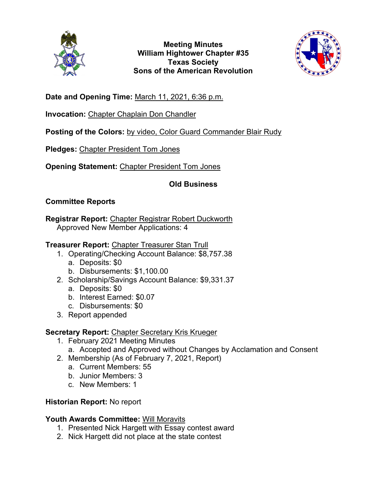

**Meeting Minutes William Hightower Chapter #35 Texas Society Sons of the American Revolution**



**Date and Opening Time:** March 11, 2021, 6:36 p.m.

**Invocation:** Chapter Chaplain Don Chandler

Posting of the Colors: by video, Color Guard Commander Blair Rudy

**Pledges:** Chapter President Tom Jones

**Opening Statement:** Chapter President Tom Jones

## **Old Business**

# **Committee Reports**

**Registrar Report:** Chapter Registrar Robert Duckworth Approved New Member Applications: 4

## **Treasurer Report:** Chapter Treasurer Stan Trull

- 1. Operating/Checking Account Balance: \$8,757.38
	- a. Deposits: \$0
	- b. Disbursements: \$1,100.00
- 2. Scholarship/Savings Account Balance: \$9,331.37
	- a. Deposits: \$0
	- b. Interest Earned: \$0.07
	- c. Disbursements: \$0
- 3. Report appended

## **Secretary Report:** Chapter Secretary Kris Krueger

- 1. February 2021 Meeting Minutes
	- a. Accepted and Approved without Changes by Acclamation and Consent
- 2. Membership (As of February 7, 2021, Report)
	- a. Current Members: 55
	- b. Junior Members: 3
	- c. New Members: 1

# **Historian Report:** No report

## **Youth Awards Committee:** Will Moravits

- 1. Presented Nick Hargett with Essay contest award
- 2. Nick Hargett did not place at the state contest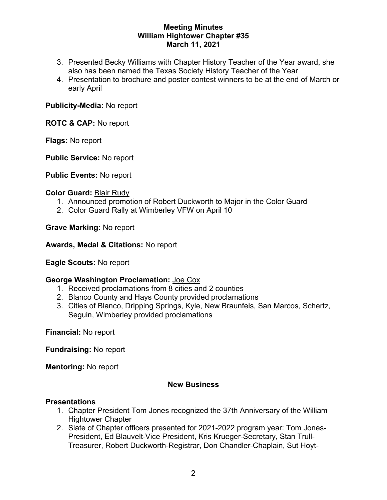## **Meeting Minutes William Hightower Chapter #35 March 11, 2021**

- 3. Presented Becky Williams with Chapter History Teacher of the Year award, she also has been named the Texas Society History Teacher of the Year
- 4. Presentation to brochure and poster contest winners to be at the end of March or early April

**Publicity-Media:** No report

**ROTC & CAP:** No report

**Flags:** No report

**Public Service:** No report

**Public Events:** No report

### **Color Guard:** Blair Rudy

- 1. Announced promotion of Robert Duckworth to Major in the Color Guard
- 2. Color Guard Rally at Wimberley VFW on April 10

**Grave Marking:** No report

**Awards, Medal & Citations:** No report

**Eagle Scouts:** No report

## **George Washington Proclamation:** Joe Cox

- 1. Received proclamations from 8 cities and 2 counties
- 2. Blanco County and Hays County provided proclamations
- 3. Cities of Blanco, Dripping Springs, Kyle, New Braunfels, San Marcos, Schertz, Seguin, Wimberley provided proclamations

**Financial:** No report

**Fundraising:** No report

**Mentoring:** No report

### **New Business**

### **Presentations**

- 1. Chapter President Tom Jones recognized the 37th Anniversary of the William Hightower Chapter
- 2. Slate of Chapter officers presented for 2021-2022 program year: Tom Jones-President, Ed Blauvelt-Vice President, Kris Krueger-Secretary, Stan Trull-Treasurer, Robert Duckworth-Registrar, Don Chandler-Chaplain, Sut Hoyt-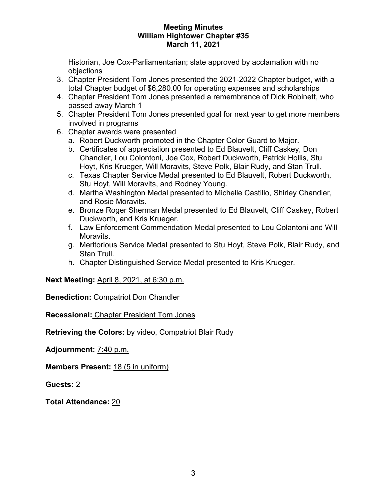### **Meeting Minutes William Hightower Chapter #35 March 11, 2021**

Historian, Joe Cox-Parliamentarian; slate approved by acclamation with no objections

- 3. Chapter President Tom Jones presented the 2021-2022 Chapter budget, with a total Chapter budget of \$6,280.00 for operating expenses and scholarships
- 4. Chapter President Tom Jones presented a remembrance of Dick Robinett, who passed away March 1
- 5. Chapter President Tom Jones presented goal for next year to get more members involved in programs
- 6. Chapter awards were presented
	- a. Robert Duckworth promoted in the Chapter Color Guard to Major.
	- b. Certificates of appreciation presented to Ed Blauvelt, Cliff Caskey, Don Chandler, Lou Colontoni, Joe Cox, Robert Duckworth, Patrick Hollis, Stu Hoyt, Kris Krueger, Will Moravits, Steve Polk, Blair Rudy, and Stan Trull.
	- c. Texas Chapter Service Medal presented to Ed Blauvelt, Robert Duckworth, Stu Hoyt, Will Moravits, and Rodney Young.
	- d. Martha Washington Medal presented to Michelle Castillo, Shirley Chandler, and Rosie Moravits.
	- e. Bronze Roger Sherman Medal presented to Ed Blauvelt, Cliff Caskey, Robert Duckworth, and Kris Krueger.
	- f. Law Enforcement Commendation Medal presented to Lou Colantoni and Will Moravits.
	- g. Meritorious Service Medal presented to Stu Hoyt, Steve Polk, Blair Rudy, and Stan Trull.
	- h. Chapter Distinguished Service Medal presented to Kris Krueger.

**Next Meeting:** April 8, 2021, at 6:30 p.m.

**Benediction:** Compatriot Don Chandler

**Recessional:** Chapter President Tom Jones

**Retrieving the Colors:** by video, Compatriot Blair Rudy

**Adjournment:** 7:40 p.m.

**Members Present:** 18 (5 in uniform)

**Guests:** 2

**Total Attendance:** 20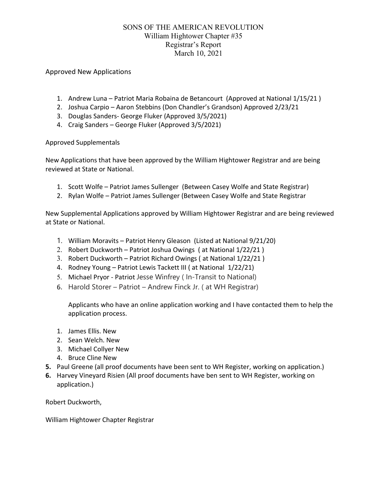## SONS OF THE AMERICAN REVOLUTION William Hightower Chapter #35 Registrar's Report March 10, 2021

### Approved New Applications

- 1. Andrew Luna Patriot Maria Robaina de Betancourt (Approved at National 1/15/21 )
- 2. Joshua Carpio Aaron Stebbins (Don Chandler's Grandson) Approved 2/23/21
- 3. Douglas Sanders- George Fluker (Approved 3/5/2021)
- 4. Craig Sanders George Fluker (Approved 3/5/2021)

#### Approved Supplementals

New Applications that have been approved by the William Hightower Registrar and are being reviewed at State or National.

- 1. Scott Wolfe Patriot James Sullenger (Between Casey Wolfe and State Registrar)
- 2. Rylan Wolfe Patriot James Sullenger (Between Casey Wolfe and State Registrar

New Supplemental Applications approved by William Hightower Registrar and are being reviewed at State or National.

- 1. William Moravits Patriot Henry Gleason (Listed at National 9/21/20)
- 2. Robert Duckworth Patriot Joshua Owings ( at National 1/22/21 )
- 3. Robert Duckworth Patriot Richard Owings ( at National 1/22/21 )
- 4. Rodney Young Patriot Lewis Tackett III ( at National 1/22/21)
- 5. Michael Pryor Patriot Jesse Winfrey ( In-Transit to National)
- 6. Harold Storer Patriot Andrew Finck Jr. ( at WH Registrar)

Applicants who have an online application working and I have contacted them to help the application process.

- 1. James Ellis. New
- 2. Sean Welch. New
- 3. Michael Collyer New
- 4. Bruce Cline New
- **5.** Paul Greene (all proof documents have been sent to WH Register, working on application.)
- **6.** Harvey Vineyard Risien (All proof documents have ben sent to WH Register, working on application.)

Robert Duckworth,

William Hightower Chapter Registrar